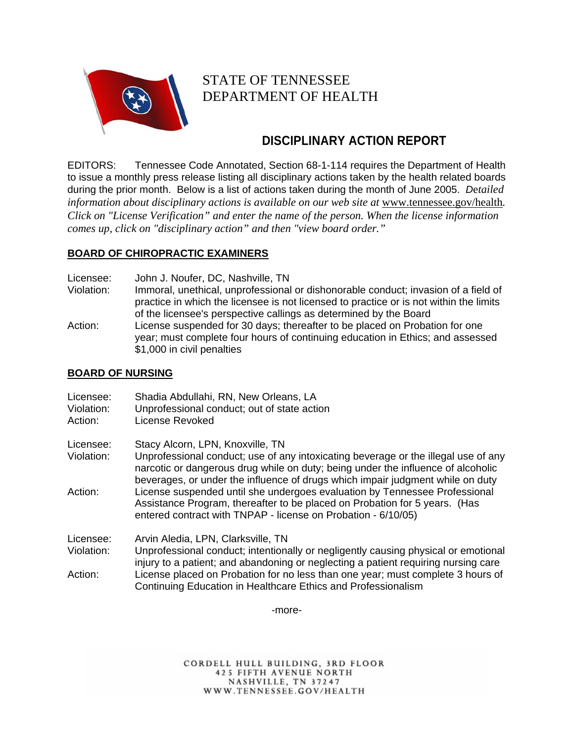

# STATE OF TENNESSEE DEPARTMENT OF HEALTH

## **DISCIPLINARY ACTION REPORT**

EDITORS: Tennessee Code Annotated, Section 68-1-114 requires the Department of Health to issue a monthly press release listing all disciplinary actions taken by the health related boards during the prior month. Below is a list of actions taken during the month of June 2005. *D*e*tailed information about disciplinary actions is available on our web site at www.tennessee.gov/health. Click on "License Verification" and enter the name of the person. When the license information comes up, click on "disciplinary action" and then "view board order."* 

## **BOARD OF CHIROPRACTIC EXAMINERS**

Licensee: John J. Noufer, DC, Nashville, TN

- Violation: Immoral, unethical, unprofessional or dishonorable conduct; invasion of a field of practice in which the licensee is not licensed to practice or is not within the limits of the licensee's perspective callings as determined by the Board
- Action: License suspended for 30 days; thereafter to be placed on Probation for one year; must complete four hours of continuing education in Ethics; and assessed \$1,000 in civil penalties

## **BOARD OF NURSING**

| Licensee:<br>Violation:<br>Action: | Shadia Abdullahi, RN, New Orleans, LA<br>Unprofessional conduct; out of state action<br>License Revoked                                                                                                                   |
|------------------------------------|---------------------------------------------------------------------------------------------------------------------------------------------------------------------------------------------------------------------------|
| Licensee:<br>Violation:            | Stacy Alcorn, LPN, Knoxville, TN<br>Unprofessional conduct; use of any intoxicating beverage or the illegal use of any                                                                                                    |
|                                    | narcotic or dangerous drug while on duty; being under the influence of alcoholic<br>beverages, or under the influence of drugs which impair judgment while on duty                                                        |
| Action:                            | License suspended until she undergoes evaluation by Tennessee Professional<br>Assistance Program, thereafter to be placed on Probation for 5 years. (Has<br>entered contract with TNPAP - license on Probation - 6/10/05) |
| Licensee:                          | Arvin Aledia, LPN, Clarksville, TN                                                                                                                                                                                        |
| Violation:                         | Unprofessional conduct; intentionally or negligently causing physical or emotional<br>injury to a patient; and abandoning or neglecting a patient requiring nursing care                                                  |
| Action:                            | License placed on Probation for no less than one year; must complete 3 hours of<br>Continuing Education in Healthcare Ethics and Professionalism                                                                          |

-more-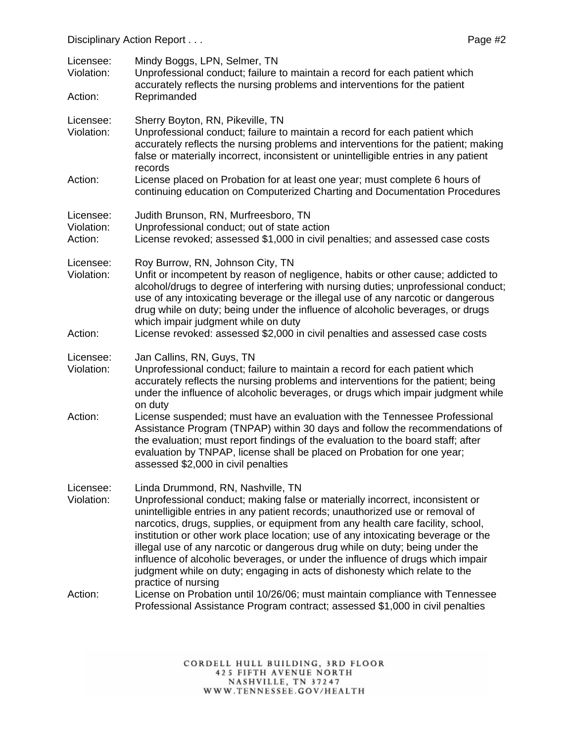| Licensee:<br>Violation:<br>Action: | Mindy Boggs, LPN, Selmer, TN<br>Unprofessional conduct; failure to maintain a record for each patient which<br>accurately reflects the nursing problems and interventions for the patient<br>Reprimanded                                                                                                                                                                                                                                                                                                                                                                                                                                           |
|------------------------------------|----------------------------------------------------------------------------------------------------------------------------------------------------------------------------------------------------------------------------------------------------------------------------------------------------------------------------------------------------------------------------------------------------------------------------------------------------------------------------------------------------------------------------------------------------------------------------------------------------------------------------------------------------|
| Licensee:<br>Violation:            | Sherry Boyton, RN, Pikeville, TN<br>Unprofessional conduct; failure to maintain a record for each patient which<br>accurately reflects the nursing problems and interventions for the patient; making<br>false or materially incorrect, inconsistent or unintelligible entries in any patient                                                                                                                                                                                                                                                                                                                                                      |
| Action:                            | records<br>License placed on Probation for at least one year; must complete 6 hours of<br>continuing education on Computerized Charting and Documentation Procedures                                                                                                                                                                                                                                                                                                                                                                                                                                                                               |
| Licensee:<br>Violation:<br>Action: | Judith Brunson, RN, Murfreesboro, TN<br>Unprofessional conduct; out of state action<br>License revoked; assessed \$1,000 in civil penalties; and assessed case costs                                                                                                                                                                                                                                                                                                                                                                                                                                                                               |
| Licensee:<br>Violation:            | Roy Burrow, RN, Johnson City, TN<br>Unfit or incompetent by reason of negligence, habits or other cause; addicted to<br>alcohol/drugs to degree of interfering with nursing duties; unprofessional conduct;<br>use of any intoxicating beverage or the illegal use of any narcotic or dangerous<br>drug while on duty; being under the influence of alcoholic beverages, or drugs<br>which impair judgment while on duty                                                                                                                                                                                                                           |
| Action:                            | License revoked: assessed \$2,000 in civil penalties and assessed case costs                                                                                                                                                                                                                                                                                                                                                                                                                                                                                                                                                                       |
| Licensee:<br>Violation:            | Jan Callins, RN, Guys, TN<br>Unprofessional conduct; failure to maintain a record for each patient which<br>accurately reflects the nursing problems and interventions for the patient; being<br>under the influence of alcoholic beverages, or drugs which impair judgment while<br>on duty                                                                                                                                                                                                                                                                                                                                                       |
| Action:                            | License suspended; must have an evaluation with the Tennessee Professional<br>Assistance Program (TNPAP) within 30 days and follow the recommendations of<br>the evaluation; must report findings of the evaluation to the board staff; after<br>evaluation by TNPAP, license shall be placed on Probation for one year;<br>assessed \$2,000 in civil penalties                                                                                                                                                                                                                                                                                    |
| Licensee:<br>Violation:            | Linda Drummond, RN, Nashville, TN<br>Unprofessional conduct; making false or materially incorrect, inconsistent or<br>unintelligible entries in any patient records; unauthorized use or removal of<br>narcotics, drugs, supplies, or equipment from any health care facility, school,<br>institution or other work place location; use of any intoxicating beverage or the<br>illegal use of any narcotic or dangerous drug while on duty; being under the<br>influence of alcoholic beverages, or under the influence of drugs which impair<br>judgment while on duty; engaging in acts of dishonesty which relate to the<br>practice of nursing |
| Action:                            | License on Probation until 10/26/06; must maintain compliance with Tennessee<br>Professional Assistance Program contract; assessed \$1,000 in civil penalties                                                                                                                                                                                                                                                                                                                                                                                                                                                                                      |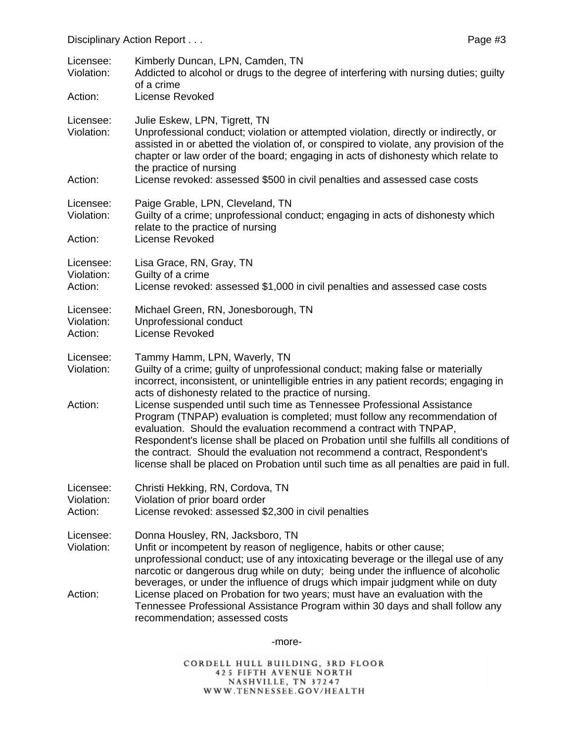| Licensee:<br>Violation:            | Kimberly Duncan, LPN, Camden, TN<br>Addicted to alcohol or drugs to the degree of interfering with nursing duties; guilty<br>of a crime                                                                                                                                                                                                                                                                                                                                                       |
|------------------------------------|-----------------------------------------------------------------------------------------------------------------------------------------------------------------------------------------------------------------------------------------------------------------------------------------------------------------------------------------------------------------------------------------------------------------------------------------------------------------------------------------------|
| Action:                            | License Revoked                                                                                                                                                                                                                                                                                                                                                                                                                                                                               |
| Licensee:<br>Violation:            | Julie Eskew, LPN, Tigrett, TN<br>Unprofessional conduct; violation or attempted violation, directly or indirectly, or<br>assisted in or abetted the violation of, or conspired to violate, any provision of the<br>chapter or law order of the board; engaging in acts of dishonesty which relate to<br>the practice of nursing                                                                                                                                                               |
| Action:                            | License revoked: assessed \$500 in civil penalties and assessed case costs                                                                                                                                                                                                                                                                                                                                                                                                                    |
| Licensee:<br>Violation:            | Paige Grable, LPN, Cleveland, TN<br>Guilty of a crime; unprofessional conduct; engaging in acts of dishonesty which<br>relate to the practice of nursing                                                                                                                                                                                                                                                                                                                                      |
| Action:                            | License Revoked                                                                                                                                                                                                                                                                                                                                                                                                                                                                               |
| Licensee:<br>Violation:<br>Action: | Lisa Grace, RN, Gray, TN<br>Guilty of a crime<br>License revoked: assessed \$1,000 in civil penalties and assessed case costs                                                                                                                                                                                                                                                                                                                                                                 |
| Licensee:<br>Violation:<br>Action: | Michael Green, RN, Jonesborough, TN<br>Unprofessional conduct<br>License Revoked                                                                                                                                                                                                                                                                                                                                                                                                              |
| Licensee:<br>Violation:            | Tammy Hamm, LPN, Waverly, TN<br>Guilty of a crime; guilty of unprofessional conduct; making false or materially<br>incorrect, inconsistent, or unintelligible entries in any patient records; engaging in<br>acts of dishonesty related to the practice of nursing.                                                                                                                                                                                                                           |
| Action:                            | License suspended until such time as Tennessee Professional Assistance<br>Program (TNPAP) evaluation is completed; must follow any recommendation of<br>evaluation. Should the evaluation recommend a contract with TNPAP,<br>Respondent's license shall be placed on Probation until she fulfills all conditions of<br>the contract. Should the evaluation not recommend a contract, Respondent's<br>license shall be placed on Probation until such time as all penalties are paid in full. |
| Licensee:<br>Violation:<br>Action: | Christi Hekking, RN, Cordova, TN<br>Violation of prior board order<br>License revoked: assessed \$2,300 in civil penalties                                                                                                                                                                                                                                                                                                                                                                    |
| Licensee:<br>Violation:            | Donna Housley, RN, Jacksboro, TN<br>Unfit or incompetent by reason of negligence, habits or other cause;<br>unprofessional conduct; use of any intoxicating beverage or the illegal use of any<br>narcotic or dangerous drug while on duty; being under the influence of alcoholic<br>beverages, or under the influence of drugs which impair judgment while on duty                                                                                                                          |
| Action:                            | License placed on Probation for two years; must have an evaluation with the<br>Tennessee Professional Assistance Program within 30 days and shall follow any<br>recommendation; assessed costs                                                                                                                                                                                                                                                                                                |

-more-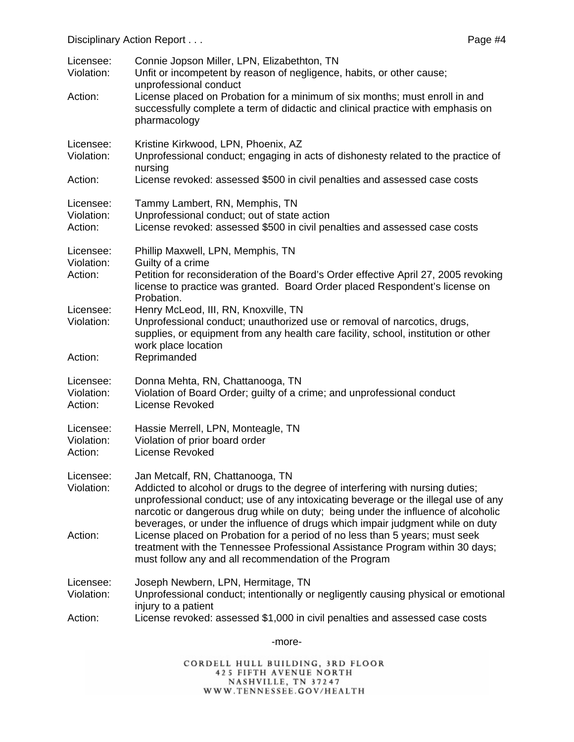| Licensee:<br>Violation:<br>Action: | Connie Jopson Miller, LPN, Elizabethton, TN<br>Unfit or incompetent by reason of negligence, habits, or other cause;<br>unprofessional conduct<br>License placed on Probation for a minimum of six months; must enroll in and<br>successfully complete a term of didactic and clinical practice with emphasis on<br>pharmacology                                               |
|------------------------------------|--------------------------------------------------------------------------------------------------------------------------------------------------------------------------------------------------------------------------------------------------------------------------------------------------------------------------------------------------------------------------------|
| Licensee:<br>Violation:            | Kristine Kirkwood, LPN, Phoenix, AZ<br>Unprofessional conduct; engaging in acts of dishonesty related to the practice of<br>nursing                                                                                                                                                                                                                                            |
| Action:                            | License revoked: assessed \$500 in civil penalties and assessed case costs                                                                                                                                                                                                                                                                                                     |
| Licensee:<br>Violation:<br>Action: | Tammy Lambert, RN, Memphis, TN<br>Unprofessional conduct; out of state action<br>License revoked: assessed \$500 in civil penalties and assessed case costs                                                                                                                                                                                                                    |
| Licensee:                          | Phillip Maxwell, LPN, Memphis, TN                                                                                                                                                                                                                                                                                                                                              |
| Violation:<br>Action:              | Guilty of a crime<br>Petition for reconsideration of the Board's Order effective April 27, 2005 revoking<br>license to practice was granted. Board Order placed Respondent's license on<br>Probation.                                                                                                                                                                          |
| Licensee:<br>Violation:            | Henry McLeod, III, RN, Knoxville, TN<br>Unprofessional conduct; unauthorized use or removal of narcotics, drugs,<br>supplies, or equipment from any health care facility, school, institution or other<br>work place location                                                                                                                                                  |
| Action:                            | Reprimanded                                                                                                                                                                                                                                                                                                                                                                    |
| Licensee:<br>Violation:<br>Action: | Donna Mehta, RN, Chattanooga, TN<br>Violation of Board Order; guilty of a crime; and unprofessional conduct<br><b>License Revoked</b>                                                                                                                                                                                                                                          |
| Licensee:<br>Violation:<br>Action: | Hassie Merrell, LPN, Monteagle, TN<br>Violation of prior board order<br>License Revoked                                                                                                                                                                                                                                                                                        |
| Licensee:<br>Violation:            | Jan Metcalf, RN, Chattanooga, TN<br>Addicted to alcohol or drugs to the degree of interfering with nursing duties;<br>unprofessional conduct; use of any intoxicating beverage or the illegal use of any<br>narcotic or dangerous drug while on duty; being under the influence of alcoholic<br>beverages, or under the influence of drugs which impair judgment while on duty |
| Action:                            | License placed on Probation for a period of no less than 5 years; must seek<br>treatment with the Tennessee Professional Assistance Program within 30 days;<br>must follow any and all recommendation of the Program                                                                                                                                                           |
| Licensee:<br>Violation:            | Joseph Newbern, LPN, Hermitage, TN<br>Unprofessional conduct; intentionally or negligently causing physical or emotional<br>injury to a patient                                                                                                                                                                                                                                |
| Action:                            | License revoked: assessed \$1,000 in civil penalties and assessed case costs                                                                                                                                                                                                                                                                                                   |

-more-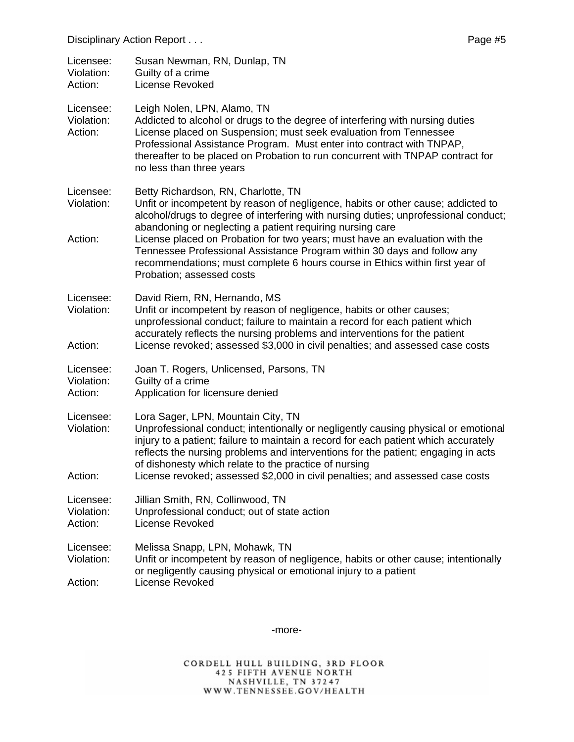| Licensee:<br>Violation:<br>Action: | Susan Newman, RN, Dunlap, TN<br>Guilty of a crime<br><b>License Revoked</b>                                                                                                                                                                                                                                                                                                                                                                                                                                                                        |
|------------------------------------|----------------------------------------------------------------------------------------------------------------------------------------------------------------------------------------------------------------------------------------------------------------------------------------------------------------------------------------------------------------------------------------------------------------------------------------------------------------------------------------------------------------------------------------------------|
| Licensee:<br>Violation:<br>Action: | Leigh Nolen, LPN, Alamo, TN<br>Addicted to alcohol or drugs to the degree of interfering with nursing duties<br>License placed on Suspension; must seek evaluation from Tennessee<br>Professional Assistance Program. Must enter into contract with TNPAP,<br>thereafter to be placed on Probation to run concurrent with TNPAP contract for<br>no less than three years                                                                                                                                                                           |
| Licensee:<br>Violation:<br>Action: | Betty Richardson, RN, Charlotte, TN<br>Unfit or incompetent by reason of negligence, habits or other cause; addicted to<br>alcohol/drugs to degree of interfering with nursing duties; unprofessional conduct;<br>abandoning or neglecting a patient requiring nursing care<br>License placed on Probation for two years; must have an evaluation with the<br>Tennessee Professional Assistance Program within 30 days and follow any<br>recommendations; must complete 6 hours course in Ethics within first year of<br>Probation; assessed costs |
| Licensee:<br>Violation:<br>Action: | David Riem, RN, Hernando, MS<br>Unfit or incompetent by reason of negligence, habits or other causes;<br>unprofessional conduct; failure to maintain a record for each patient which<br>accurately reflects the nursing problems and interventions for the patient<br>License revoked; assessed \$3,000 in civil penalties; and assessed case costs                                                                                                                                                                                                |
| Licensee:<br>Violation:<br>Action: | Joan T. Rogers, Unlicensed, Parsons, TN<br>Guilty of a crime<br>Application for licensure denied                                                                                                                                                                                                                                                                                                                                                                                                                                                   |
| Licensee:<br>Violation:<br>Action: | Lora Sager, LPN, Mountain City, TN<br>Unprofessional conduct; intentionally or negligently causing physical or emotional<br>injury to a patient; failure to maintain a record for each patient which accurately<br>reflects the nursing problems and interventions for the patient; engaging in acts<br>of dishonesty which relate to the practice of nursing<br>License revoked; assessed \$2,000 in civil penalties; and assessed case costs                                                                                                     |
| Licensee:<br>Violation:<br>Action: | Jillian Smith, RN, Collinwood, TN<br>Unprofessional conduct; out of state action<br>License Revoked                                                                                                                                                                                                                                                                                                                                                                                                                                                |
| Licensee:<br>Violation:<br>Action: | Melissa Snapp, LPN, Mohawk, TN<br>Unfit or incompetent by reason of negligence, habits or other cause; intentionally<br>or negligently causing physical or emotional injury to a patient<br>License Revoked                                                                                                                                                                                                                                                                                                                                        |

-more-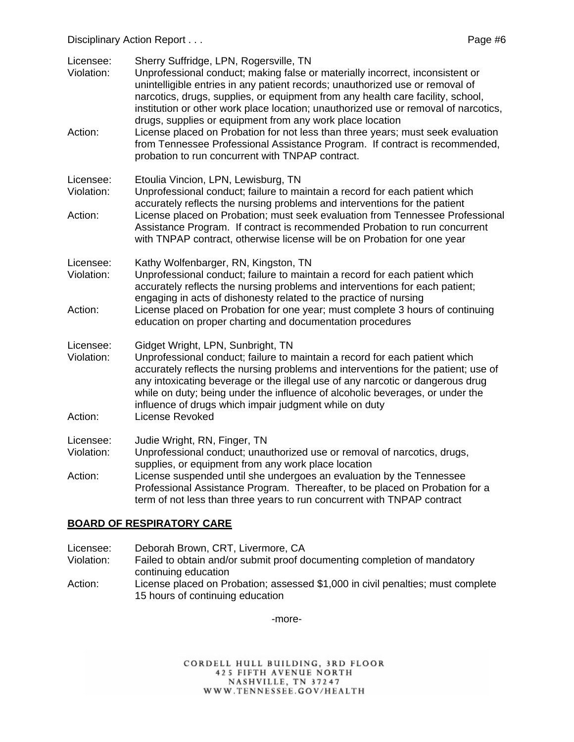Disciplinary Action Report . . .  $\blacksquare$ 

| Licensee:<br>Violation:            | Sherry Suffridge, LPN, Rogersville, TN<br>Unprofessional conduct; making false or materially incorrect, inconsistent or<br>unintelligible entries in any patient records; unauthorized use or removal of<br>narcotics, drugs, supplies, or equipment from any health care facility, school,<br>institution or other work place location; unauthorized use or removal of narcotics,                                                                     |
|------------------------------------|--------------------------------------------------------------------------------------------------------------------------------------------------------------------------------------------------------------------------------------------------------------------------------------------------------------------------------------------------------------------------------------------------------------------------------------------------------|
| Action:                            | drugs, supplies or equipment from any work place location<br>License placed on Probation for not less than three years; must seek evaluation<br>from Tennessee Professional Assistance Program. If contract is recommended,<br>probation to run concurrent with TNPAP contract.                                                                                                                                                                        |
| Licensee:<br>Violation:            | Etoulia Vincion, LPN, Lewisburg, TN<br>Unprofessional conduct; failure to maintain a record for each patient which<br>accurately reflects the nursing problems and interventions for the patient                                                                                                                                                                                                                                                       |
| Action:                            | License placed on Probation; must seek evaluation from Tennessee Professional<br>Assistance Program. If contract is recommended Probation to run concurrent<br>with TNPAP contract, otherwise license will be on Probation for one year                                                                                                                                                                                                                |
| Licensee:<br>Violation:<br>Action: | Kathy Wolfenbarger, RN, Kingston, TN<br>Unprofessional conduct; failure to maintain a record for each patient which<br>accurately reflects the nursing problems and interventions for each patient;<br>engaging in acts of dishonesty related to the practice of nursing<br>License placed on Probation for one year; must complete 3 hours of continuing<br>education on proper charting and documentation procedures                                 |
| Licensee:<br>Violation:<br>Action: | Gidget Wright, LPN, Sunbright, TN<br>Unprofessional conduct; failure to maintain a record for each patient which<br>accurately reflects the nursing problems and interventions for the patient; use of<br>any intoxicating beverage or the illegal use of any narcotic or dangerous drug<br>while on duty; being under the influence of alcoholic beverages, or under the<br>influence of drugs which impair judgment while on duty<br>License Revoked |
|                                    |                                                                                                                                                                                                                                                                                                                                                                                                                                                        |
| Licensee:<br>Violation:            | Judie Wright, RN, Finger, TN<br>Unprofessional conduct; unauthorized use or removal of narcotics, drugs,<br>supplies, or equipment from any work place location                                                                                                                                                                                                                                                                                        |
| Action:                            | License suspended until she undergoes an evaluation by the Tennessee<br>Professional Assistance Program. Thereafter, to be placed on Probation for a<br>term of not less than three years to run concurrent with TNPAP contract                                                                                                                                                                                                                        |

#### **BOARD OF RESPIRATORY CARE**

- Licensee: Deborah Brown, CRT, Livermore, CA
- Violation: Failed to obtain and/or submit proof documenting completion of mandatory continuing education
- Action: License placed on Probation; assessed \$1,000 in civil penalties; must complete 15 hours of continuing education

-more-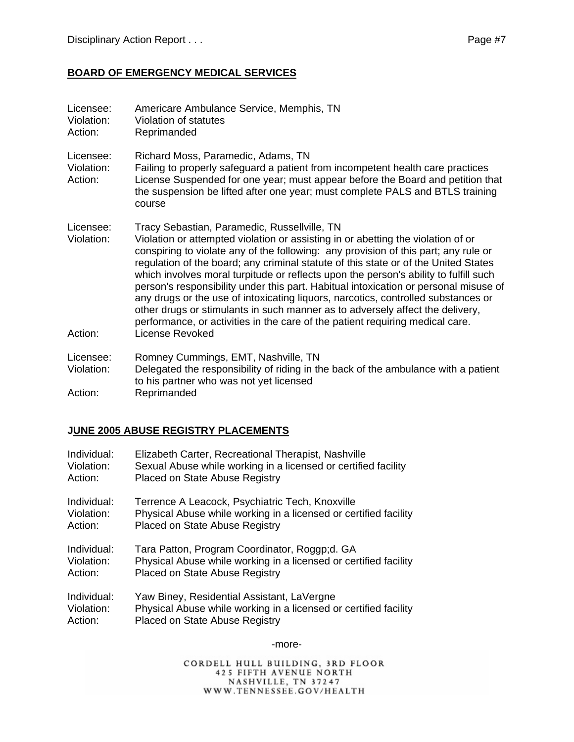### **BOARD OF EMERGENCY MEDICAL SERVICES**

| Licensee:<br>Violation:<br>Action: | Americare Ambulance Service, Memphis, TN<br>Violation of statutes<br>Reprimanded                                                                                                                                                                                                                                                                                                                                                                                                                                                                                                                                                                                                                                                                                         |
|------------------------------------|--------------------------------------------------------------------------------------------------------------------------------------------------------------------------------------------------------------------------------------------------------------------------------------------------------------------------------------------------------------------------------------------------------------------------------------------------------------------------------------------------------------------------------------------------------------------------------------------------------------------------------------------------------------------------------------------------------------------------------------------------------------------------|
| Licensee:<br>Violation:<br>Action: | Richard Moss, Paramedic, Adams, TN<br>Failing to properly safeguard a patient from incompetent health care practices<br>License Suspended for one year; must appear before the Board and petition that<br>the suspension be lifted after one year; must complete PALS and BTLS training<br>course                                                                                                                                                                                                                                                                                                                                                                                                                                                                        |
| Licensee:<br>Violation:<br>Action: | Tracy Sebastian, Paramedic, Russellville, TN<br>Violation or attempted violation or assisting in or abetting the violation of or<br>conspiring to violate any of the following: any provision of this part; any rule or<br>regulation of the board; any criminal statute of this state or of the United States<br>which involves moral turpitude or reflects upon the person's ability to fulfill such<br>person's responsibility under this part. Habitual intoxication or personal misuse of<br>any drugs or the use of intoxicating liquors, narcotics, controlled substances or<br>other drugs or stimulants in such manner as to adversely affect the delivery,<br>performance, or activities in the care of the patient requiring medical care.<br>License Revoked |
| Licensee:<br>Violation:<br>Action: | Romney Cummings, EMT, Nashville, TN<br>Delegated the responsibility of riding in the back of the ambulance with a patient<br>to his partner who was not yet licensed<br>Reprimanded                                                                                                                                                                                                                                                                                                                                                                                                                                                                                                                                                                                      |

### **JUNE 2005 ABUSE REGISTRY PLACEMENTS**

| Individual: | Elizabeth Carter, Recreational Therapist, Nashville              |
|-------------|------------------------------------------------------------------|
| Violation:  | Sexual Abuse while working in a licensed or certified facility   |
| Action:     | <b>Placed on State Abuse Registry</b>                            |
| Individual: | Terrence A Leacock, Psychiatric Tech, Knoxville                  |
| Violation:  | Physical Abuse while working in a licensed or certified facility |
| Action:     | <b>Placed on State Abuse Registry</b>                            |
| Individual: | Tara Patton, Program Coordinator, Roggp;d. GA                    |
| Violation:  | Physical Abuse while working in a licensed or certified facility |
| Action:     | Placed on State Abuse Registry                                   |
| Individual: | Yaw Biney, Residential Assistant, LaVergne                       |
| Violation:  | Physical Abuse while working in a licensed or certified facility |
| Action:     | Placed on State Abuse Registry                                   |

-more-